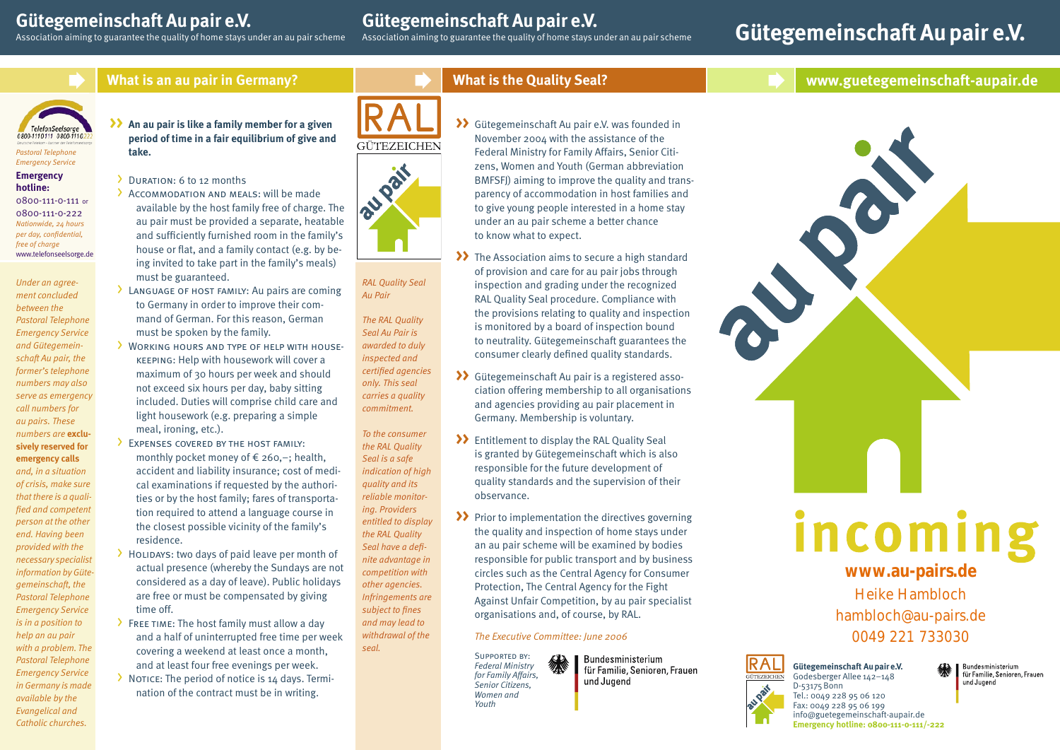## **Gütegemeinschaft Au pair e.V.**

Association aiming to guarantee the quality of home stays under an au pair scheme

# **Gütegemeinschaft Au pair e.V.**<br>Association aiming to guarantee the quality of home stays under an au pair scheme

# **Gütegemeinschaft Au pair e.V.**

**www.guetegemeinschaft-aupair.de**



### **What is an au pair in Germany?**



# **>>**

*Pastoral Telephone Emergency Service*

#### **Emergency hotline:**

0800-111-0-111 or 0800-111-0-222 *Nationwide, 24 hours per day, confidential, free of charge* www.telefonseelsorge.de

*Under an agreement concluded between the Pastoral Telephone Emergency Service and Gütegemeinschaft Au pair, the former's telephone numbers may also serve as emergency call numbers for au pairs. These numbers are* **exclusively reserved for emergency calls** *and, in a situation of crisis, make sure that there is a qualified and competent person at the other end. Having been provided with the necessary specialist information by Gütegemeinschaft, the Pastoral Telephone Emergency Service is in a position to help an au pair with a problem. The Pastoral Telephone Emergency Service in Germany is made available by the Evangelical and Catholic churches.*

**An au pair is like a family member for a given period of time in a fair equilibrium of give and take.**

> DURATION: 6 to 12 months

- > Accommodation and MEALS: will be made available by the host family free of charge. The au pair must be provided a separate, heatable and sufficiently furnished room in the family's house or flat, and a family contact (e.g. by being invited to take part in the family's meals) must be guaranteed.
- > Language of HOST FAMILY: Au pairs are coming to Germany in order to improve their command of German. For this reason, German must be spoken by the family.
- WORKING HOURS AND TYPE OF HELP WITH HOUSEkeeping: Help with housework will cover a maximum of 30 hours per week and should not exceed six hours per day, baby sitting included. Duties will comprise child care and light housework (e.g. preparing a simple meal, ironing, etc.).
- > Expenses covered by the host family: monthly pocket money of € 260,–; health, accident and liability insurance; cost of medical examinations if requested by the authorities or by the host family; fares of transportation required to attend a language course in the closest possible vicinity of the family's residence.
- $\rightarrow$  Holidays: two days of paid leave per month of actual presence (whereby the Sundays are not considered as a day of leave). Public holidays are free or must be compensated by giving time off.
- $\rightarrow$  Free time: The host family must allow a day and a half of uninterrupted free time per week covering a weekend at least once a month, and at least four free evenings per week.
- > NOTICE: The period of notice is 14 days. Termination of the contract must be in writing.





*RAL Quality Seal Au Pair*

*The RAL Quality Seal Au Pair is awarded to duly inspected and certified agencies only. This seal carries a quality commitment.*

*To the consumer the RAL Quality Seal is a safe indication of high quality and its reliable monitoring. Providers entitled to display the RAL Quality Seal have a definite advantage in competition with other agencies. Infringements are subject to fines and may lead to withdrawal of the seal.*

**What is the Quality Seal?** 

- Gütegemeinschaft Au pair e.V. was founded in **>>** November 2004 with the assistance of the Federal Ministry for Family Affairs, Senior Citizens, Women and Youth (German abbreviation BMFSFI) aiming to improve the quality and transparency of accommodation in host families and to give young people interested in a home stay under an au pair scheme a better chance to know what to expect.
- >> The Association aims to secure a high standard of provision and care for au pair jobs through inspection and grading under the recognized RAL Quality Seal procedure. Compliance with the provisions relating to quality and inspection is monitored by a board of inspection bound to neutrality. Gütegemeinschaft guarantees the consumer clearly defined quality standards.
- Gütegemeinschaft Au pair is a registered asso-**>>** ciation offering membership to all organisations and agencies providing au pair placement in Germany. Membership is voluntary.
- Entitlement to display the RAL Quality Seal **>>** is granted by Gütegemeinschaft which is also responsible for the future development of quality standards and the supervision of their observance.
- >> Prior to implementation the directives governing the quality and inspection of home stays under an au pair scheme will be examined by bodies responsible for public transport and by business circles such as the Central Agency for Consumer Protection, The Central Agency for the Fight Against Unfair Competition, by au pair specialist organisations and, of course, by RAL.

#### *The Executive Committee: June 2006*

Supported by: *Federal Ministry for Family Affairs, Senior Citizens, Women and Youth*

Bundesministerium für Familie, Senioren, Frauen und Jugend



0049 221 733030



Bundesministerium für Familie, Senioren, Frauen und Jugend

D-53175 Bonn Tel.: 0049 228 95 06 120 Fax: 0049 228 95 06 199 info@guetegemeinschaft-aupair.de **Emergency hotline: 0800-111-0-111/-222**